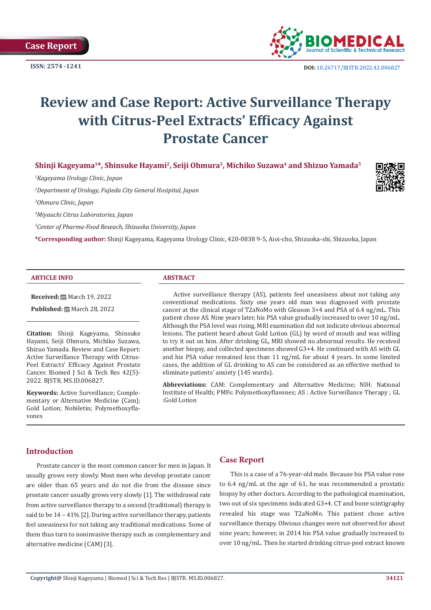

**ISSN:** 2574 -1241 **DOI:** [10.26717/BJSTR.2022.42.006827](https://dx.doi.org/10.26717/BJSTR.2022.42.006827)

# **Review and Case Report: Active Surveillance Therapy with Citrus-Peel Extracts' Efficacy Against Prostate Cancer**

**Shinji Kageyama<sup>1</sup>\*, Shinsuke Hayami<sup>2</sup>, Seiji Ohmura3, Michiko Suzawa4 and Shizuo Yamada<sup>5</sup>**

*1 Kageyama Urology Clinic, Japan* 

*2 Department of Urology, Fujieda City General Hosipital, Japan* 

*3 Ohmura Clinic, Japan* 

*4 Miyauchi Citrus Laboratories, Japan* 

*5 Center of Pharma-Food Reseach, Shizuoka University, Japan*

**\*Corresponding author:** Shinji Kageyama, Kageyama Urology Clinic, 420-0838 9-5, Aioi-cho, Shizuoka-shi, Shizuoka, Japan

### **ARTICLE INFO ABSTRACT**

**Received:** March 19, 2022

**Published:** ■ March 28, 2022

**Citation:** Shinji Kageyama, Shinsuke Hayami, Seiji Ohmura, Michiko Suzawa, Shizuo Yamada. Review and Case Report: Active Surveillance Therapy with Citrus-Peel Extracts' Efficacy Against Prostate Cancer. Biomed J Sci & Tech Res 42(5)- 2022. BJSTR. MS.ID.006827.

**Keywords:** Active Surveillance; Complementary or Alternative Medicine (Cam); Gold Lotion; Nobiletin; Polymethoxyflavones

Active surveillance therapy (AS), patients feel uneasiness about not taking any conventional medications. Sixty one years old man was diagnosed with prostate cancer at the clinical stage of T2aNoMo with Gleason 3+4 and PSA of 6.4 ng/mL. This patient chose AS. Nine years later, his PSA value gradually increased to over 10 ng/mL. Although the PSA level was rising, MRI examination did not indicate obvious abnormal lesions. The patient heard about Gold Lotion (GL) by word of mouth and was willing to try it out on him. After drinking GL, MRI showed no abnormal results. He received another biopsy, and collected specimens showed G3+4. He continued with AS with GL and his PSA value remained less than 11 ng/mL for about 4 years. In some limited cases, the addition of GL drinking to AS can be considered as an effective method to eliminate patients' anxiety (145 wards).

**Abbreviations:** CAM: Complementary and Alternative Medicine; NIH: National Institute of Health; PMFs: Polymethoxyflavones; AS : Active Surveillance Therapy ; GL :Gold Lotion

### **Introduction**

Prostate cancer is the most common cancer for men in Japan. It usually grows very slowly. Most men who develop prostate cancer are older than 65 years and do not die from the disease since prostate cancer usually grows very slowly [1]. The withdrawal rate from active surveillance therapy to a second (traditional) therapy is said to be 14 – 41% [2]. During active surveillance therapy, patients feel uneasiness for not taking any traditional medications. Some of them thus turn to noninvasive therapy such as complementary and alternative medicine (CAM) [3].

### **Case Report**

This is a case of a 76-year-old male. Because his PSA value rose to 6.4 ng/mL at the age of 61, he was recommended a prostatic biopsy by other doctors. According to the pathological examination, two out of six specimens indicated G3+4. CT and bone scintigraphy revealed his stage was T2aNoMo. This patient chose active surveillance therapy. Obvious changes were not observed for about nine years; however, in 2014 his PSA value gradually increased to over 10 ng/mL. Then he started drinking citrus-peel extract known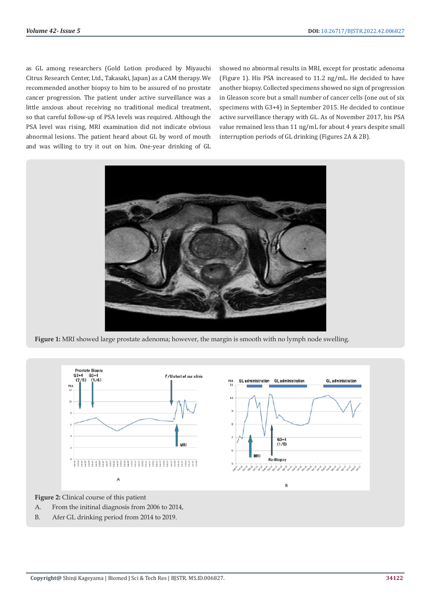as GL among researchers (Gold Lotion produced by Miyauchi Citrus Research Center, Ltd., Takasaki, Japan) as a CAM therapy. We recommended another biopsy to him to be assured of no prostate cancer progression. The patient under active surveillance was a little anxious about receiving no traditional medical treatment, so that careful follow-up of PSA levels was required. Although the PSA level was rising, MRI examination did not indicate obvious abnormal lesions. The patient heard about GL by word of mouth and was willing to try it out on him. One-year drinking of GL

showed no abnormal results in MRI, except for prostatic adenoma (Figure 1). His PSA increased to 11.2 ng/mL. He decided to have another biopsy. Collected specimens showed no sign of progression in Gleason score but a small number of cancer cells (one out of six specimens with G3+4) in September 2015. He decided to continue active surveillance therapy with GL. As of November 2017, his PSA value remained less than 11 ng/mL for about 4 years despite small interruption periods of GL drinking (Figures 2A & 2B).



**Figure 1:** MRI showed large prostate adenoma; however, the margin is smooth with no lymph node swelling.



**Figure 2:** Clinical course of this patient

- A. From the initinal diagnosis from 2006 to 2014,
- B. Afer GL drinking period from 2014 to 2019.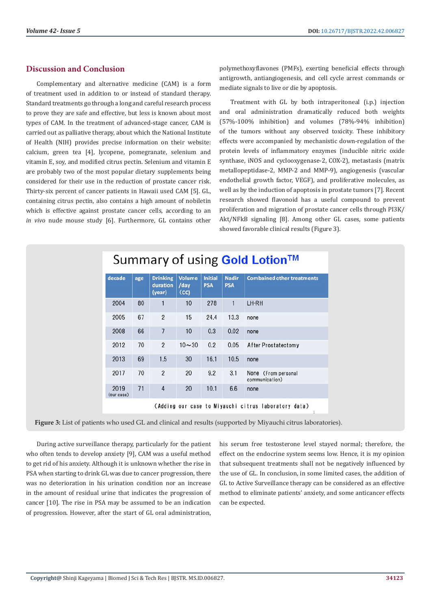### **Discussion and Conclusion**

Complementary and alternative medicine (CAM) is a form of treatment used in addition to or instead of standard therapy. Standard treatments go through a long and careful research process to prove they are safe and effective, but less is known about most types of CAM. In the treatment of advanced-stage cancer, CAM is carried out as palliative therapy, about which the National Institute of Health (NIH) provides precise information on their website: calcium, green tea [4], lycopene, pomegranate, selenium and vitamin E, soy, and modified citrus pectin. Selenium and vitamin E are probably two of the most popular dietary supplements being considered for their use in the reduction of prostate cancer risk. Thirty-six percent of cancer patients in Hawaii used CAM [5]. GL, containing citrus pectin, also contains a high amount of nobiletin which is effective against prostate cancer cells, according to an *in vivo* nude mouse study [6]. Furthermore, GL contains other

polymethoxyflavones (PMFs), exerting beneficial effects through antigrowth, antiangiogenesis, and cell cycle arrest commands or mediate signals to live or die by apoptosis.

Treatment with GL by both intraperitoneal (i.p.) injection and oral administration dramatically reduced both weights (57%-100% inhibition) and volumes (78%-94% inhibition) of the tumors without any observed toxicity. These inhibitory effects were accompanied by mechanistic down-regulation of the protein levels of inflammatory enzymes (inducible nitric oxide synthase, iNOS and cyclooxygenase-2, COX-2), metastasis (matrix metallopeptidase-2, MMP-2 and MMP-9), angiogenesis (vascular endothelial growth factor, VEGF), and proliferative molecules, as well as by the induction of apoptosis in prostate tumors [7]. Recent research showed flavonoid has a useful compound to prevent proliferation and migration of prostate cancer cells through PI3K/ Akt/NFkB signaling [8]. Among other GL cases, some patients showed favorable clinical results (Figure 3).

## Summary of using Gold Lotion™

| decade             | age | <b>Drinking</b><br>duration<br>(year) | <b>Volume</b><br>/day<br>(cc) | <b>Initial</b><br><b>PSA</b> | <b>Nadir</b><br><b>PSA</b> | <b>Combained other treatments</b>     |
|--------------------|-----|---------------------------------------|-------------------------------|------------------------------|----------------------------|---------------------------------------|
| 2004               | 80  | 1                                     | 10                            | 278                          | 1                          | LH-RH                                 |
| 2005               | 67  | $\overline{2}$                        | 15                            | 24.4                         | 13.3                       | none                                  |
| 2008               | 66  | $\overline{7}$                        | 10                            | 0.3                          | 0.02                       | none                                  |
| 2012               | 70  | $\overline{2}$                        | $10 - 30$                     | 0.2                          | 0.05                       | After Prostatectomy                   |
| 2013               | 69  | 1.5                                   | 30                            | 16.1                         | 10.5                       | none                                  |
| 2017               | 70  | $\overline{2}$                        | 20                            | 9.2                          | 3.1                        | None (From personal<br>communication) |
| 2019<br>(our case) | 71  | 4                                     | 20                            | 10.1                         | 6.6                        | none                                  |
|                    |     |                                       |                               |                              |                            |                                       |

(Adding our case to Miyauchi citrus laboratory data)

**Figure 3:** List of patients who used GL and clinical and results (supported by Miyauchi citrus laboratories).

During active surveillance therapy, particularly for the patient who often tends to develop anxiety [9], CAM was a useful method to get rid of his anxiety. Although it is unknown whether the rise in PSA when starting to drink GL was due to cancer progression, there was no deterioration in his urination condition nor an increase in the amount of residual urine that indicates the progression of cancer [10]. The rise in PSA may be assumed to be an indication of progression. However, after the start of GL oral administration,

his serum free testosterone level stayed normal; therefore, the effect on the endocrine system seems low. Hence, it is my opinion that subsequent treatments shall not be negatively influenced by the use of GL. In conclusion, in some limited cases, the addition of GL to Active Surveillance therapy can be considered as an effective method to eliminate patients' anxiety, and some anticancer effects can be expected.